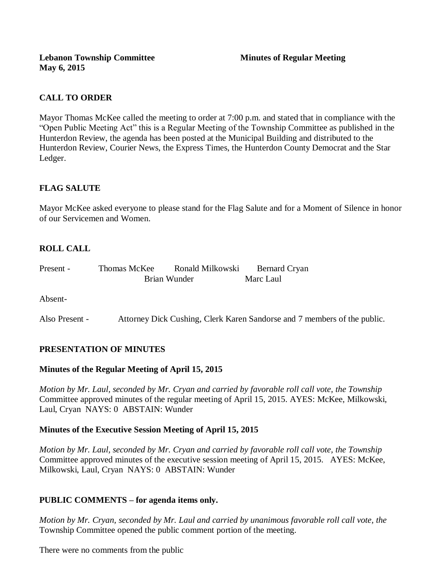# **CALL TO ORDER**

Mayor Thomas McKee called the meeting to order at 7:00 p.m. and stated that in compliance with the "Open Public Meeting Act" this is a Regular Meeting of the Township Committee as published in the Hunterdon Review, the agenda has been posted at the Municipal Building and distributed to the Hunterdon Review, Courier News, the Express Times, the Hunterdon County Democrat and the Star Ledger.

## **FLAG SALUTE**

Mayor McKee asked everyone to please stand for the Flag Salute and for a Moment of Silence in honor of our Servicemen and Women.

# **ROLL CALL**

| Present - | Thomas McKee | Ronald Milkowski | <b>Bernard Cryan</b> |
|-----------|--------------|------------------|----------------------|
|           | Brian Wunder |                  | Marc Laul            |

Absent-

Also Present - Attorney Dick Cushing, Clerk Karen Sandorse and 7 members of the public.

### **PRESENTATION OF MINUTES**

#### **Minutes of the Regular Meeting of April 15, 2015**

*Motion by Mr. Laul, seconded by Mr. Cryan and carried by favorable roll call vote, the Township* Committee approved minutes of the regular meeting of April 15, 2015. AYES: McKee, Milkowski, Laul, Cryan NAYS: 0 ABSTAIN: Wunder

### **Minutes of the Executive Session Meeting of April 15, 2015**

*Motion by Mr. Laul, seconded by Mr. Cryan and carried by favorable roll call vote, the Township* Committee approved minutes of the executive session meeting of April 15, 2015. AYES: McKee, Milkowski, Laul, Cryan NAYS: 0 ABSTAIN: Wunder

### **PUBLIC COMMENTS – for agenda items only.**

*Motion by Mr. Cryan, seconded by Mr. Laul and carried by unanimous favorable roll call vote, the* Township Committee opened the public comment portion of the meeting.

There were no comments from the public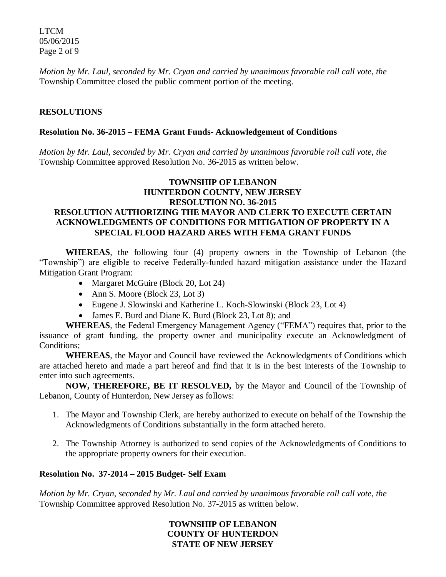LTCM 05/06/2015 Page 2 of 9

*Motion by Mr. Laul, seconded by Mr. Cryan and carried by unanimous favorable roll call vote, the* Township Committee closed the public comment portion of the meeting.

### **RESOLUTIONS**

#### **Resolution No. 36-2015 – FEMA Grant Funds- Acknowledgement of Conditions**

*Motion by Mr. Laul, seconded by Mr. Cryan and carried by unanimous favorable roll call vote*, *the* Township Committee approved Resolution No. 36-2015 as written below.

### **TOWNSHIP OF LEBANON HUNTERDON COUNTY, NEW JERSEY RESOLUTION NO. 36-2015 RESOLUTION AUTHORIZING THE MAYOR AND CLERK TO EXECUTE CERTAIN ACKNOWLEDGMENTS OF CONDITIONS FOR MITIGATION OF PROPERTY IN A SPECIAL FLOOD HAZARD ARES WITH FEMA GRANT FUNDS**

**WHEREAS**, the following four (4) property owners in the Township of Lebanon (the "Township") are eligible to receive Federally-funded hazard mitigation assistance under the Hazard Mitigation Grant Program:

- Margaret McGuire (Block 20, Lot 24)
- Ann S. Moore (Block 23, Lot 3)
- Eugene J. Slowinski and Katherine L. Koch-Slowinski (Block 23, Lot 4)
- James E. Burd and Diane K. Burd (Block 23, Lot 8); and

**WHEREAS**, the Federal Emergency Management Agency ("FEMA") requires that, prior to the issuance of grant funding, the property owner and municipality execute an Acknowledgment of Conditions;

**WHEREAS**, the Mayor and Council have reviewed the Acknowledgments of Conditions which are attached hereto and made a part hereof and find that it is in the best interests of the Township to enter into such agreements.

**NOW, THEREFORE, BE IT RESOLVED,** by the Mayor and Council of the Township of Lebanon, County of Hunterdon, New Jersey as follows:

- 1. The Mayor and Township Clerk, are hereby authorized to execute on behalf of the Township the Acknowledgments of Conditions substantially in the form attached hereto.
- 2. The Township Attorney is authorized to send copies of the Acknowledgments of Conditions to the appropriate property owners for their execution.

#### **Resolution No. 37-2014 – 2015 Budget- Self Exam**

*Motion by Mr. Cryan, seconded by Mr. Laul and carried by unanimous favorable roll call vote*, *the* Township Committee approved Resolution No. 37-2015 as written below.

> **TOWNSHIP OF LEBANON COUNTY OF HUNTERDON STATE OF NEW JERSEY**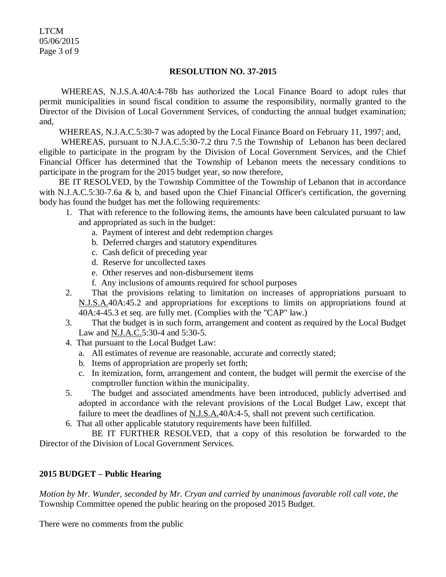LTCM 05/06/2015 Page 3 of 9

#### **RESOLUTION NO. 37-2015**

 WHEREAS, N.J.S.A.40A:4-78b has authorized the Local Finance Board to adopt rules that permit municipalities in sound fiscal condition to assume the responsibility, normally granted to the Director of the Division of Local Government Services, of conducting the annual budget examination; and,

WHEREAS, N.J.A.C.5:30-7 was adopted by the Local Finance Board on February 11, 1997; and,

 WHEREAS, pursuant to N.J.A.C.5:30-7.2 thru 7.5 the Township of Lebanon has been declared eligible to participate in the program by the Division of Local Government Services, and the Chief Financial Officer has determined that the Township of Lebanon meets the necessary conditions to participate in the program for the 2015 budget year, so now therefore,

BE IT RESOLVED, by the Township Committee of the Township of Lebanon that in accordance with N.J.A.C.5:30-7.6a & b, and based upon the Chief Financial Officer's certification, the governing body has found the budget has met the following requirements:

- 1. That with reference to the following items, the amounts have been calculated pursuant to law and appropriated as such in the budget:
	- a. Payment of interest and debt redemption charges
	- b. Deferred charges and statutory expenditures
	- c. Cash deficit of preceding year
	- d. Reserve for uncollected taxes
	- e. Other reserves and non-disbursement items
	- f. Any inclusions of amounts required for school purposes
- 2. That the provisions relating to limitation on increases of appropriations pursuant to N.J.S.A.40A:45.2 and appropriations for exceptions to limits on appropriations found at 40A:4-45.3 et seq. are fully met. (Complies with the "CAP" law.)
- 3. That the budget is in such form, arrangement and content as required by the Local Budget Law and <u>N.J.A.C.</u>5:30-4 and 5:30-5.
- 4. That pursuant to the Local Budget Law:
	- a. All estimates of revenue are reasonable, accurate and correctly stated;
	- b. Items of appropriation are properly set forth;
	- c. In itemization, form, arrangement and content, the budget will permit the exercise of the comptroller function within the municipality.
- 5. The budget and associated amendments have been introduced, publicly advertised and adopted in accordance with the relevant provisions of the Local Budget Law, except that failure to meet the deadlines of N.J.S.A.40A:4-5, shall not prevent such certification.
- 6. That all other applicable statutory requirements have been fulfilled.

BE IT FURTHER RESOLVED, that a copy of this resolution be forwarded to the Director of the Division of Local Government Services.

#### **2015 BUDGET – Public Hearing**

*Motion by Mr. Wunder, seconded by Mr. Cryan and carried by unanimous favorable roll call vote, the* Township Committee opened the public hearing on the proposed 2015 Budget.

There were no comments from the public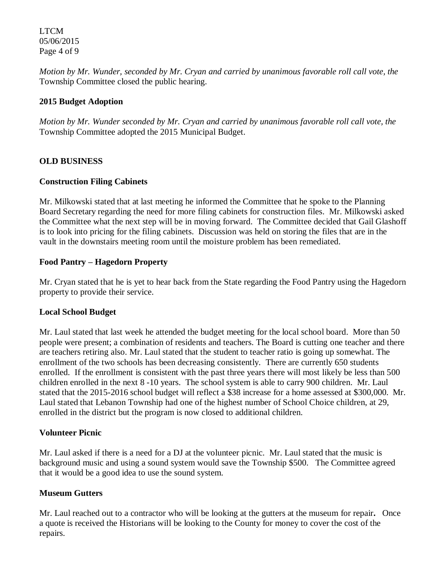LTCM 05/06/2015 Page 4 of 9

*Motion by Mr. Wunder, seconded by Mr. Cryan and carried by unanimous favorable roll call vote, the* Township Committee closed the public hearing.

#### **2015 Budget Adoption**

*Motion by Mr. Wunder seconded by Mr. Cryan and carried by unanimous favorable roll call vote, the* Township Committee adopted the 2015 Municipal Budget.

### **OLD BUSINESS**

#### **Construction Filing Cabinets**

Mr. Milkowski stated that at last meeting he informed the Committee that he spoke to the Planning Board Secretary regarding the need for more filing cabinets for construction files. Mr. Milkowski asked the Committee what the next step will be in moving forward. The Committee decided that Gail Glashoff is to look into pricing for the filing cabinets. Discussion was held on storing the files that are in the vault in the downstairs meeting room until the moisture problem has been remediated.

### **Food Pantry – Hagedorn Property**

Mr. Cryan stated that he is yet to hear back from the State regarding the Food Pantry using the Hagedorn property to provide their service.

#### **Local School Budget**

Mr. Laul stated that last week he attended the budget meeting for the local school board. More than 50 people were present; a combination of residents and teachers. The Board is cutting one teacher and there are teachers retiring also. Mr. Laul stated that the student to teacher ratio is going up somewhat. The enrollment of the two schools has been decreasing consistently. There are currently 650 students enrolled. If the enrollment is consistent with the past three years there will most likely be less than 500 children enrolled in the next 8 -10 years. The school system is able to carry 900 children. Mr. Laul stated that the 2015-2016 school budget will reflect a \$38 increase for a home assessed at \$300,000. Mr. Laul stated that Lebanon Township had one of the highest number of School Choice children, at 29, enrolled in the district but the program is now closed to additional children.

#### **Volunteer Picnic**

Mr. Laul asked if there is a need for a DJ at the volunteer picnic. Mr. Laul stated that the music is background music and using a sound system would save the Township \$500. The Committee agreed that it would be a good idea to use the sound system.

#### **Museum Gutters**

Mr. Laul reached out to a contractor who will be looking at the gutters at the museum for repair**.** Once a quote is received the Historians will be looking to the County for money to cover the cost of the repairs.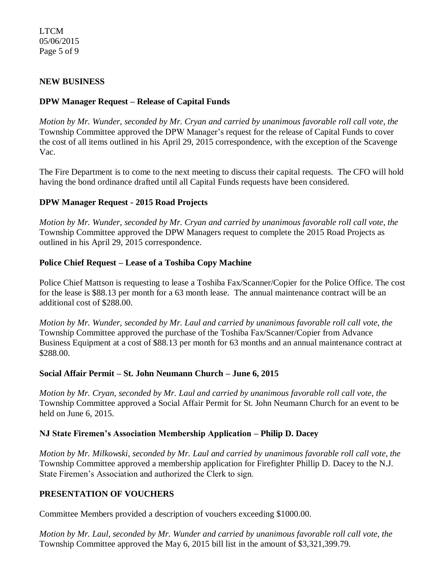### LTCM 05/06/2015 Page 5 of 9

### **NEW BUSINESS**

### **DPW Manager Request – Release of Capital Funds**

*Motion by Mr. Wunder, seconded by Mr. Cryan and carried by unanimous favorable roll call vote, the* Township Committee approved the DPW Manager's request for the release of Capital Funds to cover the cost of all items outlined in his April 29, 2015 correspondence, with the exception of the Scavenge Vac.

The Fire Department is to come to the next meeting to discuss their capital requests. The CFO will hold having the bond ordinance drafted until all Capital Funds requests have been considered.

### **DPW Manager Request - 2015 Road Projects**

*Motion by Mr. Wunder, seconded by Mr. Cryan and carried by unanimous favorable roll call vote, the* Township Committee approved the DPW Managers request to complete the 2015 Road Projects as outlined in his April 29, 2015 correspondence.

#### **Police Chief Request – Lease of a Toshiba Copy Machine**

Police Chief Mattson is requesting to lease a Toshiba Fax/Scanner/Copier for the Police Office. The cost for the lease is \$88.13 per month for a 63 month lease. The annual maintenance contract will be an additional cost of \$288.00.

*Motion by Mr. Wunder, seconded by Mr. Laul and carried by unanimous favorable roll call vote, the* Township Committee approved the purchase of the Toshiba Fax/Scanner/Copier from Advance Business Equipment at a cost of \$88.13 per month for 63 months and an annual maintenance contract at \$288.00.

#### **Social Affair Permit – St. John Neumann Church – June 6, 2015**

*Motion by Mr. Cryan, seconded by Mr. Laul and carried by unanimous favorable roll call vote, the* Township Committee approved a Social Affair Permit for St. John Neumann Church for an event to be held on June 6, 2015.

#### **NJ State Firemen's Association Membership Application – Philip D. Dacey**

*Motion by Mr. Milkowski, seconded by Mr. Laul and carried by unanimous favorable roll call vote, the* Township Committee approved a membership application for Firefighter Phillip D. Dacey to the N.J. State Firemen's Association and authorized the Clerk to sign.

#### **PRESENTATION OF VOUCHERS**

Committee Members provided a description of vouchers exceeding \$1000.00.

*Motion by Mr. Laul, seconded by Mr. Wunder and carried by unanimous favorable roll call vote, the* Township Committee approved the May 6, 2015 bill list in the amount of \$3,321,399.79.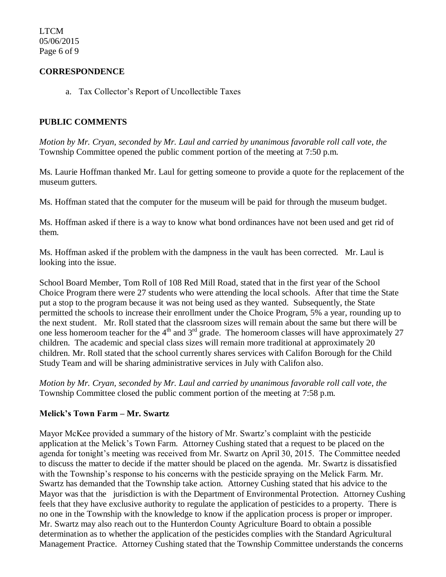LTCM 05/06/2015 Page 6 of 9

### **CORRESPONDENCE**

a. Tax Collector's Report of Uncollectible Taxes

### **PUBLIC COMMENTS**

*Motion by Mr. Cryan, seconded by Mr. Laul and carried by unanimous favorable roll call vote, the* Township Committee opened the public comment portion of the meeting at 7:50 p.m.

Ms. Laurie Hoffman thanked Mr. Laul for getting someone to provide a quote for the replacement of the museum gutters.

Ms. Hoffman stated that the computer for the museum will be paid for through the museum budget.

Ms. Hoffman asked if there is a way to know what bond ordinances have not been used and get rid of them.

Ms. Hoffman asked if the problem with the dampness in the vault has been corrected. Mr. Laul is looking into the issue.

School Board Member, Tom Roll of 108 Red Mill Road, stated that in the first year of the School Choice Program there were 27 students who were attending the local schools. After that time the State put a stop to the program because it was not being used as they wanted. Subsequently, the State permitted the schools to increase their enrollment under the Choice Program, 5% a year, rounding up to the next student. Mr. Roll stated that the classroom sizes will remain about the same but there will be one less homeroom teacher for the  $4<sup>th</sup>$  and  $3<sup>rd</sup>$  grade. The homeroom classes will have approximately 27 children. The academic and special class sizes will remain more traditional at approximately 20 children. Mr. Roll stated that the school currently shares services with Califon Borough for the Child Study Team and will be sharing administrative services in July with Califon also.

*Motion by Mr. Cryan, seconded by Mr. Laul and carried by unanimous favorable roll call vote, the* Township Committee closed the public comment portion of the meeting at 7:58 p.m.

#### **Melick's Town Farm – Mr. Swartz**

Mayor McKee provided a summary of the history of Mr. Swartz's complaint with the pesticide application at the Melick's Town Farm.Attorney Cushing stated that a request to be placed on the agenda for tonight's meeting was received from Mr. Swartz on April 30, 2015. The Committee needed to discuss the matter to decide if the matter should be placed on the agenda. Mr. Swartz is dissatisfied with the Township's response to his concerns with the pesticide spraying on the Melick Farm. Mr. Swartz has demanded that the Township take action. Attorney Cushing stated that his advice to the Mayor was that the jurisdiction is with the Department of Environmental Protection. Attorney Cushing feels that they have exclusive authority to regulate the application of pesticides to a property. There is no one in the Township with the knowledge to know if the application process is proper or improper. Mr. Swartz may also reach out to the Hunterdon County Agriculture Board to obtain a possible determination as to whether the application of the pesticides complies with the Standard Agricultural Management Practice. Attorney Cushing stated that the Township Committee understands the concerns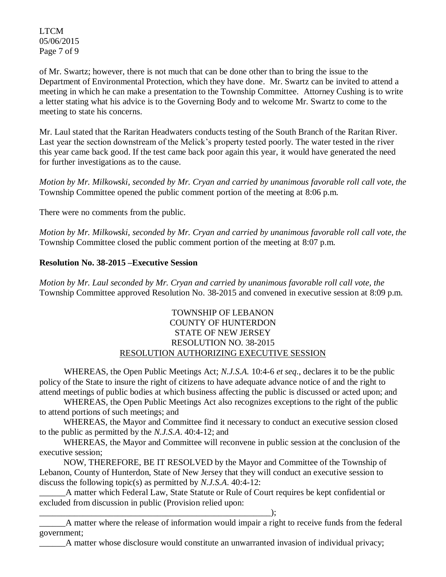LTCM 05/06/2015 Page 7 of 9

of Mr. Swartz; however, there is not much that can be done other than to bring the issue to the Department of Environmental Protection, which they have done. Mr. Swartz can be invited to attend a meeting in which he can make a presentation to the Township Committee. Attorney Cushing is to write a letter stating what his advice is to the Governing Body and to welcome Mr. Swartz to come to the meeting to state his concerns.

Mr. Laul stated that the Raritan Headwaters conducts testing of the South Branch of the Raritan River. Last year the section downstream of the Melick's property tested poorly. The water tested in the river this year came back good. If the test came back poor again this year, it would have generated the need for further investigations as to the cause.

*Motion by Mr. Milkowski, seconded by Mr. Cryan and carried by unanimous favorable roll call vote, the* Township Committee opened the public comment portion of the meeting at 8:06 p.m.

There were no comments from the public.

*Motion by Mr. Milkowski, seconded by Mr. Cryan and carried by unanimous favorable roll call vote, the* Township Committee closed the public comment portion of the meeting at 8:07 p.m.

#### **Resolution No. 38-2015 –Executive Session**

*Motion by Mr. Laul seconded by Mr. Cryan and carried by unanimous favorable roll call vote, the* Township Committee approved Resolution No. 38-2015 and convened in executive session at 8:09 p.m.

### TOWNSHIP OF LEBANON COUNTY OF HUNTERDON STATE OF NEW JERSEY RESOLUTION NO. 38-2015 RESOLUTION AUTHORIZING EXECUTIVE SESSION

WHEREAS, the Open Public Meetings Act; *N.J.S.A.* 10:4-6 *et seq*., declares it to be the public policy of the State to insure the right of citizens to have adequate advance notice of and the right to attend meetings of public bodies at which business affecting the public is discussed or acted upon; and

WHEREAS, the Open Public Meetings Act also recognizes exceptions to the right of the public to attend portions of such meetings; and

 WHEREAS, the Mayor and Committee find it necessary to conduct an executive session closed to the public as permitted by the *N.J.S.A*. 40:4-12; and

 WHEREAS, the Mayor and Committee will reconvene in public session at the conclusion of the executive session;

 NOW, THEREFORE, BE IT RESOLVED by the Mayor and Committee of the Township of Lebanon, County of Hunterdon, State of New Jersey that they will conduct an executive session to discuss the following topic(s) as permitted by *N.J.S.A*. 40:4-12:

A matter which Federal Law, State Statute or Rule of Court requires be kept confidential or excluded from discussion in public (Provision relied upon:

 $\qquad \qquad ; \qquad$ 

\_\_\_\_\_\_A matter where the release of information would impair a right to receive funds from the federal government;

\_\_\_\_\_\_A matter whose disclosure would constitute an unwarranted invasion of individual privacy;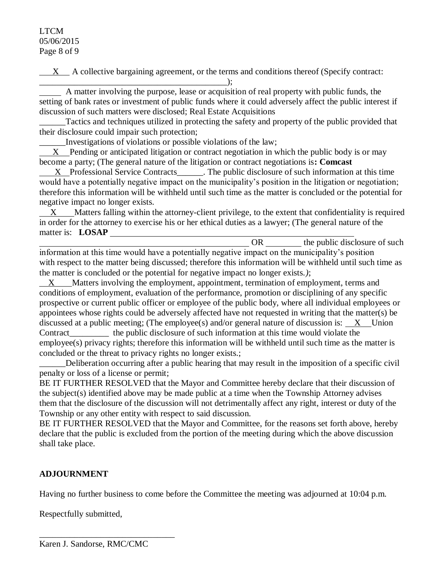### LTCM 05/06/2015 Page 8 of 9

 $X$  A collective bargaining agreement, or the terms and conditions thereof (Specify contract:

 $\qquad \qquad )$ ;

 A matter involving the purpose, lease or acquisition of real property with public funds, the setting of bank rates or investment of public funds where it could adversely affect the public interest if discussion of such matters were disclosed; Real Estate Acquisitions

Tactics and techniques utilized in protecting the safety and property of the public provided that their disclosure could impair such protection;

\_\_\_\_\_\_Investigations of violations or possible violations of the law;

 $X$  Pending or anticipated litigation or contract negotiation in which the public body is or may become a party; (The general nature of the litigation or contract negotiations is**: Comcast**

 $X$  Professional Service Contracts\_\_\_\_\_. The public disclosure of such information at this time would have a potentially negative impact on the municipality's position in the litigation or negotiation; therefore this information will be withheld until such time as the matter is concluded or the potential for negative impact no longer exists.

 $X$  Matters falling within the attorney-client privilege, to the extent that confidentiality is required in order for the attorney to exercise his or her ethical duties as a lawyer; (The general nature of the matter is: **LOSAP** 

OR https://www.franches.com/ information at this time would have a potentially negative impact on the municipality's position with respect to the matter being discussed; therefore this information will be withheld until such time as the matter is concluded or the potential for negative impact no longer exists.*)*;

X Matters involving the employment, appointment, termination of employment, terms and conditions of employment, evaluation of the performance, promotion or disciplining of any specific prospective or current public officer or employee of the public body, where all individual employees or appointees whose rights could be adversely affected have not requested in writing that the matter(s) be discussed at a public meeting; (The employee(s) and/or general nature of discussion is:  $X$  Union Contract the public disclosure of such information at this time would violate the employee(s) privacy rights; therefore this information will be withheld until such time as the matter is concluded or the threat to privacy rights no longer exists.;

\_\_\_\_\_\_Deliberation occurring after a public hearing that may result in the imposition of a specific civil penalty or loss of a license or permit;

BE IT FURTHER RESOLVED that the Mayor and Committee hereby declare that their discussion of the subject(s) identified above may be made public at a time when the Township Attorney advises them that the disclosure of the discussion will not detrimentally affect any right, interest or duty of the Township or any other entity with respect to said discussion.

BE IT FURTHER RESOLVED that the Mayor and Committee, for the reasons set forth above, hereby declare that the public is excluded from the portion of the meeting during which the above discussion shall take place.

# **ADJOURNMENT**

Having no further business to come before the Committee the meeting was adjourned at 10:04 p.m.

Respectfully submitted,

\_\_\_\_\_\_\_\_\_\_\_\_\_\_\_\_\_\_\_\_\_\_\_\_\_\_\_\_\_\_\_